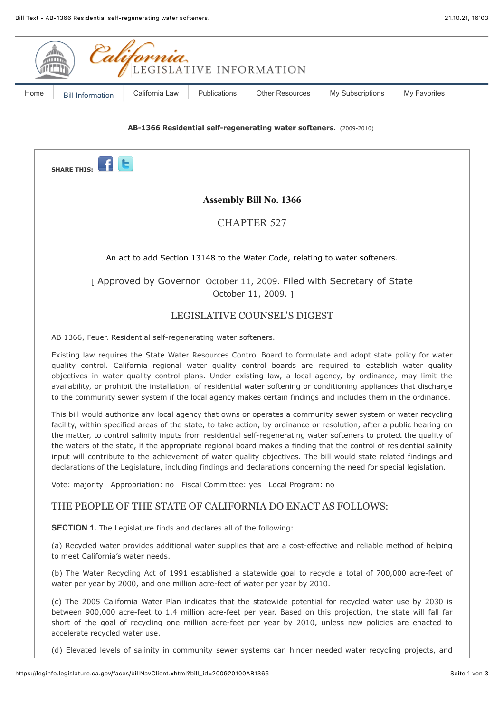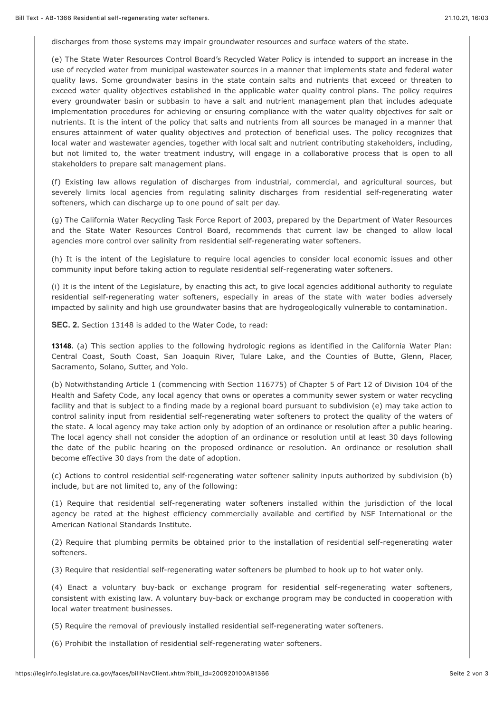discharges from those systems may impair groundwater resources and surface waters of the state.

(e) The State Water Resources Control Board's Recycled Water Policy is intended to support an increase in the use of recycled water from municipal wastewater sources in a manner that implements state and federal water quality laws. Some groundwater basins in the state contain salts and nutrients that exceed or threaten to exceed water quality objectives established in the applicable water quality control plans. The policy requires every groundwater basin or subbasin to have a salt and nutrient management plan that includes adequate implementation procedures for achieving or ensuring compliance with the water quality objectives for salt or nutrients. It is the intent of the policy that salts and nutrients from all sources be managed in a manner that ensures attainment of water quality objectives and protection of beneficial uses. The policy recognizes that local water and wastewater agencies, together with local salt and nutrient contributing stakeholders, including, but not limited to, the water treatment industry, will engage in a collaborative process that is open to all stakeholders to prepare salt management plans.

(f) Existing law allows regulation of discharges from industrial, commercial, and agricultural sources, but severely limits local agencies from regulating salinity discharges from residential self-regenerating water softeners, which can discharge up to one pound of salt per day.

(g) The California Water Recycling Task Force Report of 2003, prepared by the Department of Water Resources and the State Water Resources Control Board, recommends that current law be changed to allow local agencies more control over salinity from residential self-regenerating water softeners.

(h) It is the intent of the Legislature to require local agencies to consider local economic issues and other community input before taking action to regulate residential self-regenerating water softeners.

(i) It is the intent of the Legislature, by enacting this act, to give local agencies additional authority to regulate residential self-regenerating water softeners, especially in areas of the state with water bodies adversely impacted by salinity and high use groundwater basins that are hydrogeologically vulnerable to contamination.

**SEC. 2.** Section 13148 is added to the Water Code, to read:

**13148.** (a) This section applies to the following hydrologic regions as identified in the California Water Plan: Central Coast, South Coast, San Joaquin River, Tulare Lake, and the Counties of Butte, Glenn, Placer, Sacramento, Solano, Sutter, and Yolo.

(b) Notwithstanding Article 1 (commencing with Section 116775) of Chapter 5 of Part 12 of Division 104 of the Health and Safety Code, any local agency that owns or operates a community sewer system or water recycling facility and that is subject to a finding made by a regional board pursuant to subdivision (e) may take action to control salinity input from residential self-regenerating water softeners to protect the quality of the waters of the state. A local agency may take action only by adoption of an ordinance or resolution after a public hearing. The local agency shall not consider the adoption of an ordinance or resolution until at least 30 days following the date of the public hearing on the proposed ordinance or resolution. An ordinance or resolution shall become effective 30 days from the date of adoption.

(c) Actions to control residential self-regenerating water softener salinity inputs authorized by subdivision (b) include, but are not limited to, any of the following:

(1) Require that residential self-regenerating water softeners installed within the jurisdiction of the local agency be rated at the highest efficiency commercially available and certified by NSF International or the American National Standards Institute.

(2) Require that plumbing permits be obtained prior to the installation of residential self-regenerating water softeners.

(3) Require that residential self-regenerating water softeners be plumbed to hook up to hot water only.

(4) Enact a voluntary buy-back or exchange program for residential self-regenerating water softeners, consistent with existing law. A voluntary buy-back or exchange program may be conducted in cooperation with local water treatment businesses.

(5) Require the removal of previously installed residential self-regenerating water softeners.

(6) Prohibit the installation of residential self-regenerating water softeners.